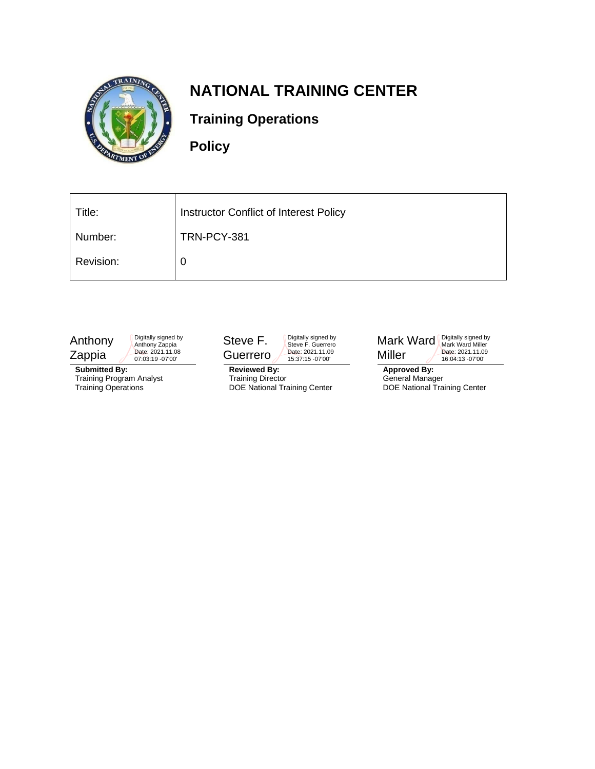

# **NATIONAL TRAINING CENTER**

## **Training Operations**

**Policy**

| Title:    | Instructor Conflict of Interest Policy |
|-----------|----------------------------------------|
| Number:   | TRN-PCY-381                            |
| Revision: | O                                      |



Digitally signed by Anthony Zappia Date: 2021.11.08 07:03:19 -07'00'

**Submitted By:** Training Program Analyst Training Operations

Steve F. Guerrero

**Reviewed By:** Training Director DOE National Training Center

Digitally signed by Steve F. Guerrero Date: 2021.11.09 15:37:15 -07'00'



**Approved By:** General Manager DOE National Training Center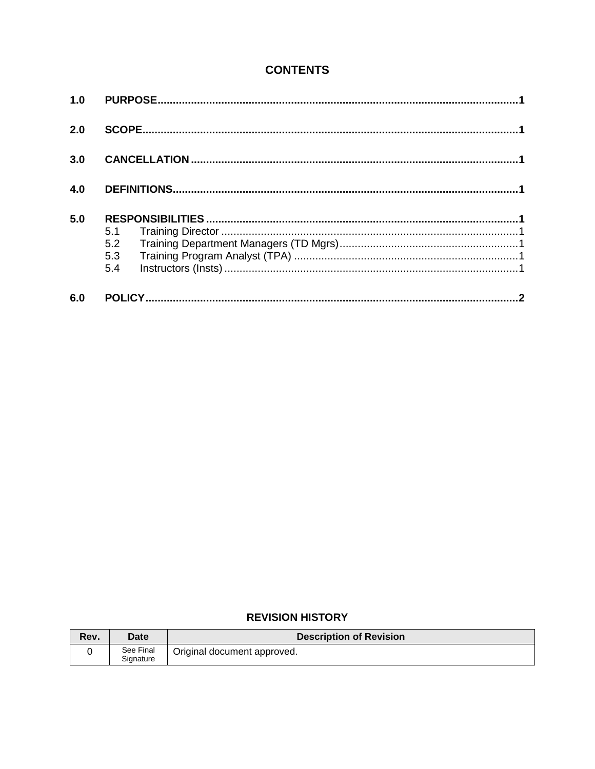### **CONTENTS**

| 1.0 |                          |  |  |  |
|-----|--------------------------|--|--|--|
| 2.0 |                          |  |  |  |
| 3.0 |                          |  |  |  |
| 4.0 |                          |  |  |  |
| 5.0 | 5.1<br>5.2<br>5.3<br>5.4 |  |  |  |
| 6.0 |                          |  |  |  |

#### **REVISION HISTORY**

| Rev. | Date                   | <b>Description of Revision</b> |
|------|------------------------|--------------------------------|
|      | See Final<br>Signature | Original document approved.    |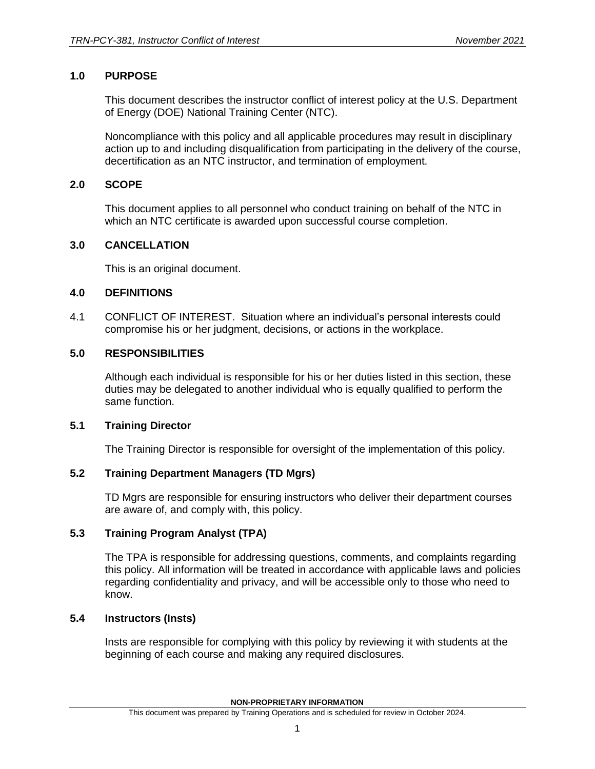#### <span id="page-2-0"></span>**1.0 PURPOSE**

This document describes the instructor conflict of interest policy at the U.S. Department of Energy (DOE) National Training Center (NTC).

Noncompliance with this policy and all applicable procedures may result in disciplinary action up to and including disqualification from participating in the delivery of the course, decertification as an NTC instructor, and termination of employment.

#### <span id="page-2-1"></span>**2.0 SCOPE**

This document applies to all personnel who conduct training on behalf of the NTC in which an NTC certificate is awarded upon successful course completion.

#### <span id="page-2-2"></span>**3.0 CANCELLATION**

This is an original document.

#### <span id="page-2-3"></span>**4.0 DEFINITIONS**

4.1 CONFLICT OF INTEREST. Situation where an individual's personal interests could compromise his or her judgment, decisions, or actions in the workplace.

#### <span id="page-2-4"></span>**5.0 RESPONSIBILITIES**

Although each individual is responsible for his or her duties listed in this section, these duties may be delegated to another individual who is equally qualified to perform the same function.

#### <span id="page-2-5"></span>**5.1 Training Director**

The Training Director is responsible for oversight of the implementation of this policy.

#### <span id="page-2-6"></span>**5.2 Training Department Managers (TD Mgrs)**

TD Mgrs are responsible for ensuring instructors who deliver their department courses are aware of, and comply with, this policy.

#### <span id="page-2-7"></span>**5.3 Training Program Analyst (TPA)**

The TPA is responsible for addressing questions, comments, and complaints regarding this policy. All information will be treated in accordance with applicable laws and policies regarding confidentiality and privacy, and will be accessible only to those who need to know.

#### <span id="page-2-8"></span>**5.4 Instructors (Insts)**

Insts are responsible for complying with this policy by reviewing it with students at the beginning of each course and making any required disclosures.

**NON-PROPRIETARY INFORMATION**